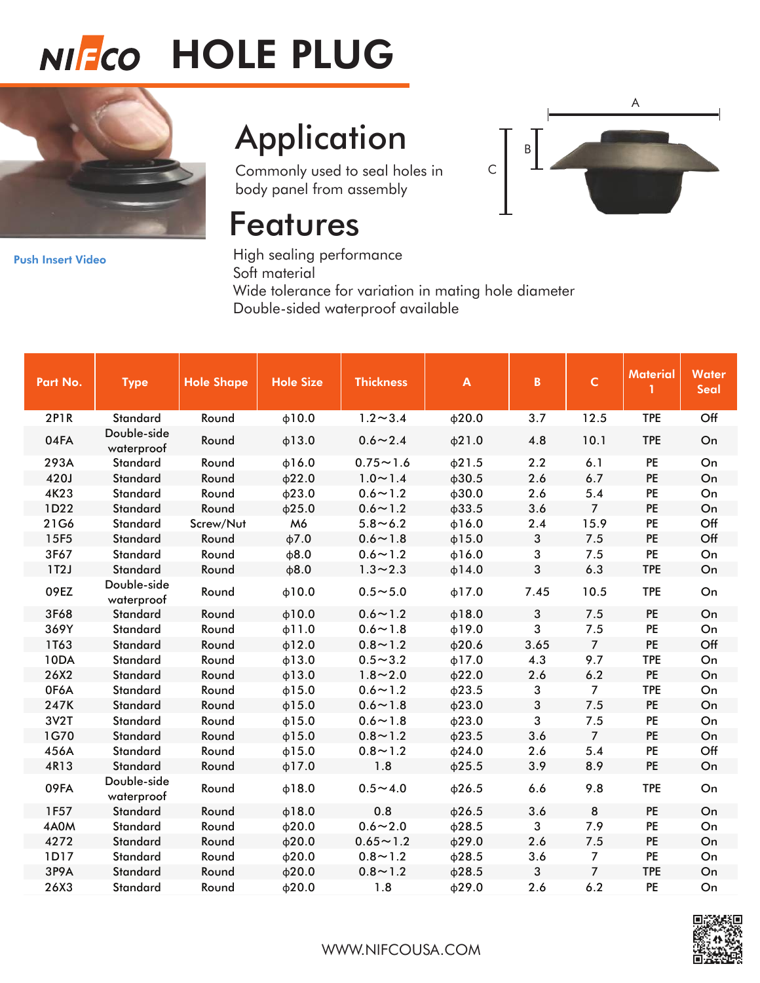# NIFCO HOLE PLUG



## **Application**

Commonly used to seal holes in body panel from assembly

### Features



[Push Insert Video](https://www.youtube.com/watch?v=T-MWS8MXqO0) 

High sealing performance Soft material Wide tolerance for variation in mating hole diameter Double-sided waterproof available

| Part No.    | <b>Type</b>               | <b>Hole Shape</b> | <b>Hole Size</b> | <b>Thickness</b> | $\boldsymbol{\mathsf{A}}$ | $\mathbf{B}$ | $\mathsf C$    | Material   | <b>Water</b><br><b>Seal</b> |
|-------------|---------------------------|-------------------|------------------|------------------|---------------------------|--------------|----------------|------------|-----------------------------|
| <b>2P1R</b> | <b>Standard</b>           | Round             | $\phi$ 10.0      | $1.2 \sim 3.4$   | $\phi$ 20.0               | 3.7          | 12.5           | <b>TPE</b> | Off                         |
| 04FA        | Double-side<br>waterproof | Round             | $\phi$ 13.0      | $0.6 \sim 2.4$   | $\phi$ 21.0               | 4.8          | 10.1           | <b>TPE</b> | On                          |
| 293A        | Standard                  | Round             | $\phi$ 16.0      | $0.75 - 1.6$     | $\phi$ 21.5               | 2.2          | 6.1            | PE         | On                          |
| 420J        | <b>Standard</b>           | Round             | $\phi$ 22.0      | $1.0 \sim 1.4$   | $\phi$ 30.5               | 2.6          | 6.7            | PE         | On                          |
| 4K23        | Standard                  | Round             | $\phi$ 23.0      | $0.6 \sim 1.2$   | $\phi$ 30.0               | 2.6          | 5.4            | PE         | On                          |
| 1D22        | <b>Standard</b>           | Round             | $\phi$ 25.0      | $0.6 \sim 1.2$   | $\phi$ 33.5               | 3.6          | $\overline{7}$ | PE         | On                          |
| 21G6        | Standard                  | Screw/Nut         | M6               | $5.8 - 6.2$      | $\phi$ 16.0               | 2.4          | 15.9           | PE         | Off                         |
| 15F5        | Standard                  | Round             | $\phi$ 7.0       | $0.6 \sim 1.8$   | $\phi$ 15.0               | $\mathbf{3}$ | 7.5            | PE         | Off                         |
| 3F67        | Standard                  | Round             | $\phi$ 8.0       | $0.6 \sim 1.2$   | $\phi$ 16.0               | 3            | 7.5            | PE         | On                          |
| 1T2J        | <b>Standard</b>           | Round             | $\phi$ 8.0       | $1.3 - 2.3$      | $\phi$ 14.0               | 3            | 6.3            | <b>TPE</b> | On                          |
| 09EZ        | Double-side<br>waterproof | Round             | $+10.0$          | $0.5 - 5.0$      | $\phi$ 17.0               | 7.45         | 10.5           | <b>TPE</b> | On                          |
| 3F68        | Standard                  | Round             | $\phi$ 10.0      | $0.6 \sim 1.2$   | $\phi$ 18.0               | $\mathbf{3}$ | 7.5            | PE         | On                          |
| 369Y        | Standard                  | Round             | $\phi$ 11.0      | $0.6 - 1.8$      | $\phi$ 19.0               | 3            | 7.5            | PE         | On                          |
| 1T63        | <b>Standard</b>           | Round             | $\phi$ 12.0      | $0.8 - 1.2$      | $\phi$ 20.6               | 3.65         | $\overline{7}$ | PE         | Off                         |
| 10DA        | Standard                  | Round             | $\phi$ 13.0      | $0.5 - 3.2$      | $\phi$ 17.0               | 4.3          | 9.7            | <b>TPE</b> | On                          |
| 26X2        | Standard                  | Round             | $\phi$ 13.0      | $1.8 - 2.0$      | $\phi$ 22.0               | 2.6          | 6.2            | PE         | On                          |
| 0F6A        | <b>Standard</b>           | Round             | $\phi$ 15.0      | $0.6 \sim 1.2$   | $\phi$ 23.5               | 3            | $\overline{7}$ | <b>TPE</b> | On                          |
| 247K        | <b>Standard</b>           | Round             | $\phi$ 15.0      | $0.6 - 1.8$      | $\phi$ 23.0               | $\mathbf{3}$ | 7.5            | PE         | On                          |
| 3V2T        | Standard                  | Round             | $\phi$ 15.0      | $0.6 - 1.8$      | $\phi$ 23.0               | 3            | 7.5            | PE         | On                          |
| 1G70        | <b>Standard</b>           | Round             | $\phi$ 15.0      | $0.8 - 1.2$      | $\phi$ 23.5               | 3.6          | $\overline{7}$ | PE         | On                          |
| 456A        | Standard                  | Round             | $\phi$ 15.0      | $0.8 - 1.2$      | $\phi$ 24.0               | 2.6          | 5.4            | PE         | Off                         |
| 4R13        | <b>Standard</b>           | Round             | $\phi$ 17.0      | 1.8              | $\phi$ 25.5               | 3.9          | 8.9            | PE         | On                          |
| 09FA        | Double-side<br>waterproof | Round             | $\phi$ 18.0      | $0.5 - 4.0$      | $\phi$ 26.5               | 6.6          | 9.8            | <b>TPE</b> | On                          |
| 1F57        | Standard                  | Round             | $\phi$ 18.0      | 0.8              | $\phi$ 26.5               | 3.6          | 8              | <b>PE</b>  | On                          |
| 4A0M        | Standard                  | Round             | $\phi$ 20.0      | $0.6 - 2.0$      | $\phi$ 28.5               | 3            | 7.9            | PE         | On                          |
| 4272        | Standard                  | Round             | $\phi$ 20.0      | $0.65 - 1.2$     | $\phi$ 29.0               | 2.6          | 7.5            | PE         | On                          |
| 1D17        | <b>Standard</b>           | Round             | $\phi$ 20.0      | $0.8 - 1.2$      | $\phi$ 28.5               | 3.6          | $\overline{7}$ | PE         | On                          |
| 3P9A        | Standard                  | Round             | $\phi$ 20.0      | $0.8 - 1.2$      | $\phi$ 28.5               | 3            | $\overline{7}$ | <b>TPE</b> | On                          |
| 26X3        | Standard                  | Round             | $\phi$ 20.0      | 1.8              | $\phi$ 29.0               | 2.6          | 6.2            | PE         | On                          |